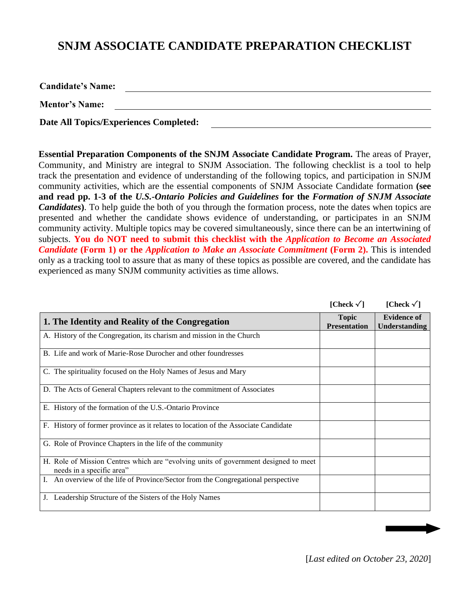## **SNJM ASSOCIATE CANDIDATE PREPARATION CHECKLIST**

**Candidate's Name:** 

**Mentor's Name:**

**Date All Topics/Experiences Completed:**

**Essential Preparation Components of the SNJM Associate Candidate Program.** The areas of Prayer, Community, and Ministry are integral to SNJM Association. The following checklist is a tool to help track the presentation and evidence of understanding of the following topics, and participation in SNJM community activities, which are the essential components of SNJM Associate Candidate formation **(see and read pp. 1-3 of the** *U.S.-Ontario Policies and Guidelines* **for the** *Formation of SNJM Associate Candidates*). To help guide the both of you through the formation process, note the dates when topics are presented and whether the candidate shows evidence of understanding, or participates in an SNJM community activity. Multiple topics may be covered simultaneously, since there can be an intertwining of subjects. **You do NOT need to submit this checklist with the** *Application to Become an Associated Candidate* **(Form 1) or the** *Application to Make an Associate Commitment* **(Form 2).** This is intended only as a tracking tool to assure that as many of these topics as possible are covered, and the candidate has experienced as many SNJM community activities as time allows.

|                                                                                                                  | [Check $\sqrt{}$ ]                  | [Check $\sqrt{}$ ]                         |
|------------------------------------------------------------------------------------------------------------------|-------------------------------------|--------------------------------------------|
| 1. The Identity and Reality of the Congregation                                                                  | <b>Topic</b><br><b>Presentation</b> | <b>Evidence of</b><br><b>Understanding</b> |
| A. History of the Congregation, its charism and mission in the Church                                            |                                     |                                            |
| B. Life and work of Marie-Rose Durocher and other foundresses                                                    |                                     |                                            |
| C. The spirituality focused on the Holy Names of Jesus and Mary                                                  |                                     |                                            |
| D. The Acts of General Chapters relevant to the commitment of Associates                                         |                                     |                                            |
| E. History of the formation of the U.S.-Ontario Province                                                         |                                     |                                            |
| F. History of former province as it relates to location of the Associate Candidate                               |                                     |                                            |
| G. Role of Province Chapters in the life of the community                                                        |                                     |                                            |
| H. Role of Mission Centres which are "evolving units of government designed to meet<br>needs in a specific area" |                                     |                                            |
| An overview of the life of Province/Sector from the Congregational perspective                                   |                                     |                                            |
| Leadership Structure of the Sisters of the Holy Names                                                            |                                     |                                            |